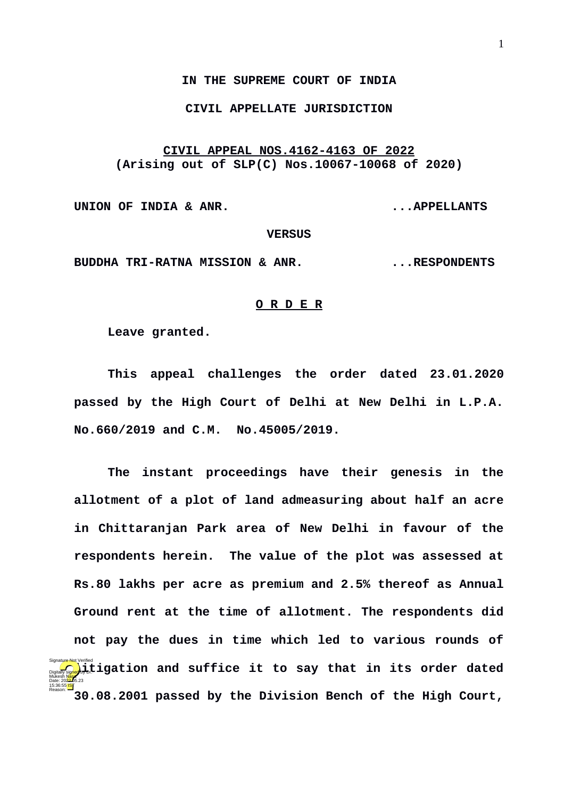## **IN THE SUPREME COURT OF INDIA**

## **CIVIL APPELLATE JURISDICTION**

# **CIVIL APPEAL NOS.4162-4163 OF 2022 (Arising out of SLP(C) Nos.10067-10068 of 2020)**

**UNION OF INDIA & ANR. ...APPELLANTS**

### **VERSUS**

**BUDDHA TRI-RATNA MISSION & ANR. THESPONDENTS** 

#### **O R D E R**

**Leave granted.**

**This appeal challenges the order dated 23.01.2020 passed by the High Court of Delhi at New Delhi in L.P.A. No.660/2019 and C.M. No.45005/2019.** 

**The instant proceedings have their genesis in the allotment of a plot of land admeasuring about half an acre in Chittaranjan Park area of New Delhi in favour of the respondents herein. The value of the plot was assessed at Rs.80 lakhs per acre as premium and 2.5% thereof as Annual Ground rent at the time of allotment. The respondents did not pay the dues in time which led to various rounds of Diginally signed, i,tigation and suffice it to say that in its order dated 30.08.2001 passed by the Division Bench of the High Court,** Mukesh Masa Date: 2022.05.23 15:36:55 IST Reason: Signature Not Verified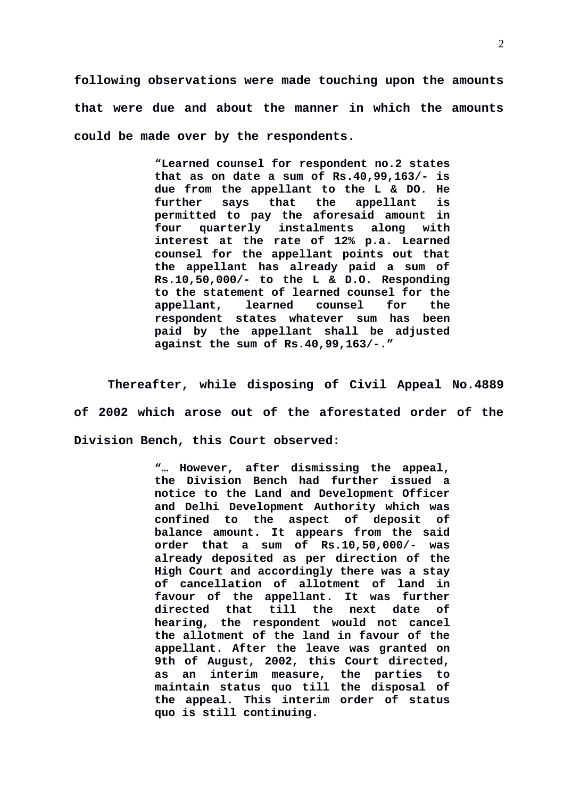**following observations were made touching upon the amounts that were due and about the manner in which the amounts could be made over by the respondents.** 

> **"Learned counsel for respondent no.2 states that as on date a sum of Rs.40,99,163/- is due from the appellant to the L & DO. He further says that the appellant is permitted to pay the aforesaid amount in four quarterly instalments along with interest at the rate of 12% p.a. Learned counsel for the appellant points out that the appellant has already paid a sum of Rs.10,50,000/- to the L & D.O. Responding to the statement of learned counsel for the appellant, learned counsel for the respondent states whatever sum has been paid by the appellant shall be adjusted against the sum of Rs.40,99,163/-."**

**Thereafter, while disposing of Civil Appeal No.4889 of 2002 which arose out of the aforestated order of the Division Bench, this Court observed:**

> **"… However, after dismissing the appeal, the Division Bench had further issued a notice to the Land and Development Officer and Delhi Development Authority which was confined to the aspect of deposit of balance amount. It appears from the said order that a sum of Rs.10,50,000/- was already deposited as per direction of the High Court and accordingly there was a stay of cancellation of allotment of land in favour of the appellant. It was further directed that till the next date of hearing, the respondent would not cancel the allotment of the land in favour of the appellant. After the leave was granted on 9th of August, 2002, this Court directed, as an interim measure, the parties to maintain status quo till the disposal of the appeal. This interim order of status quo is still continuing.**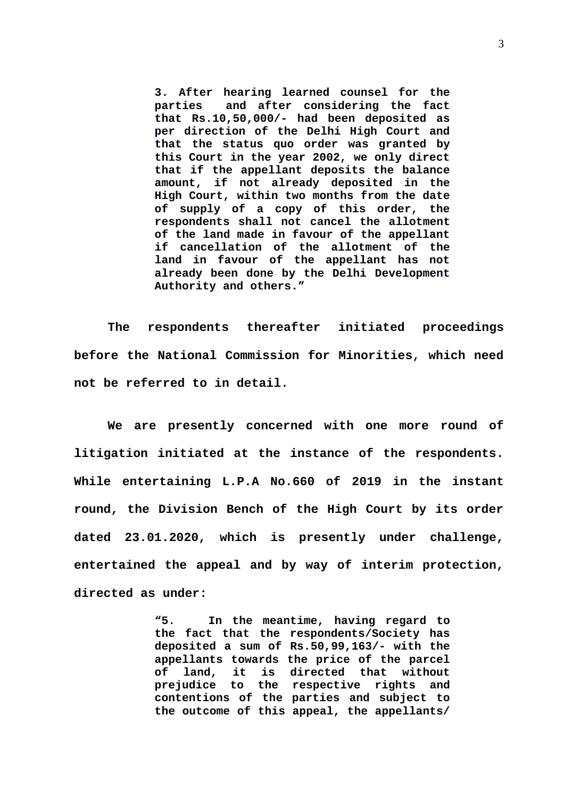**3. After hearing learned counsel for the parties and after considering the fact that Rs.10,50,000/- had been deposited as per direction of the Delhi High Court and that the status quo order was granted by this Court in the year 2002, we only direct that if the appellant deposits the balance amount, if not already deposited in the High Court, within two months from the date of supply of a copy of this order, the respondents shall not cancel the allotment of the land made in favour of the appellant if cancellation of the allotment of the land in favour of the appellant has not already been done by the Delhi Development Authority and others."**

**The respondents thereafter initiated proceedings before the National Commission for Minorities, which need not be referred to in detail.** 

**We are presently concerned with one more round of litigation initiated at the instance of the respondents. While entertaining L.P.A No.660 of 2019 in the instant round, the Division Bench of the High Court by its order dated 23.01.2020, which is presently under challenge, entertained the appeal and by way of interim protection, directed as under:**

> **"5. In the meantime, having regard to the fact that the respondents/Society has deposited a sum of Rs.50,99,163/- with the appellants towards the price of the parcel of land, it is directed that without prejudice to the respective rights and contentions of the parties and subject to the outcome of this appeal, the appellants/**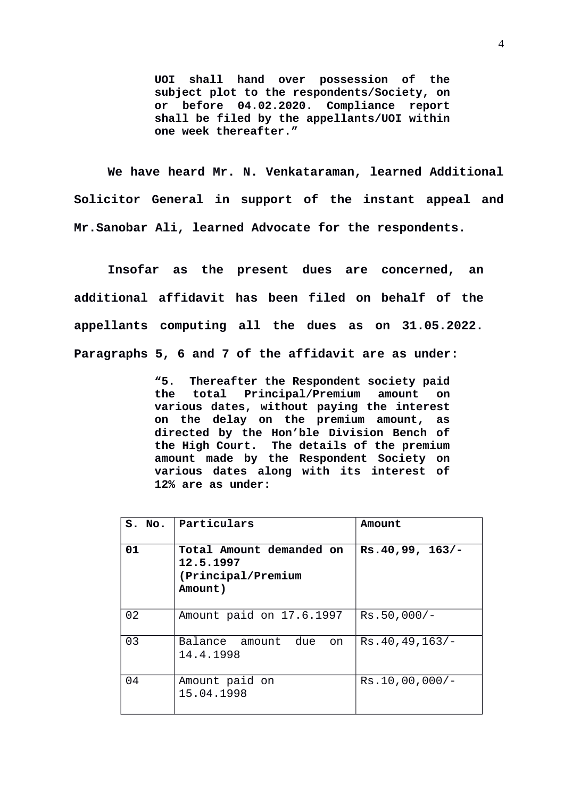**UOI shall hand over possession of the subject plot to the respondents/Society, on or before 04.02.2020. Compliance report shall be filed by the appellants/UOI within one week thereafter."**

**We have heard Mr. N. Venkataraman, learned Additional Solicitor General in support of the instant appeal and Mr.Sanobar Ali, learned Advocate for the respondents.** 

**Insofar as the present dues are concerned, an additional affidavit has been filed on behalf of the appellants computing all the dues as on 31.05.2022. Paragraphs 5, 6 and 7 of the affidavit are as under:**

> **"5. Thereafter the Respondent society paid the total Principal/Premium amount on various dates, without paying the interest on the delay on the premium amount, as directed by the Hon'ble Division Bench of the High Court. The details of the premium amount made by the Respondent Society on various dates along with its interest of 12% are as under:**

| S. No. | <b>Particulars</b>                                                     | Amount            |
|--------|------------------------------------------------------------------------|-------------------|
| 01     | Total Amount demanded on<br>12.5.1997<br>(Principal/Premium<br>Amount) | Rs.40,99, 163/-   |
| 02     | Amount paid on 17.6.1997                                               | Rs.50,000/-       |
| 03     | due<br>Balance amount<br>on<br>14.4.1998                               | Rs.40,49,163/     |
| 04     | Amount paid on<br>15.04.1998                                           | $Rs.10,00,000/$ - |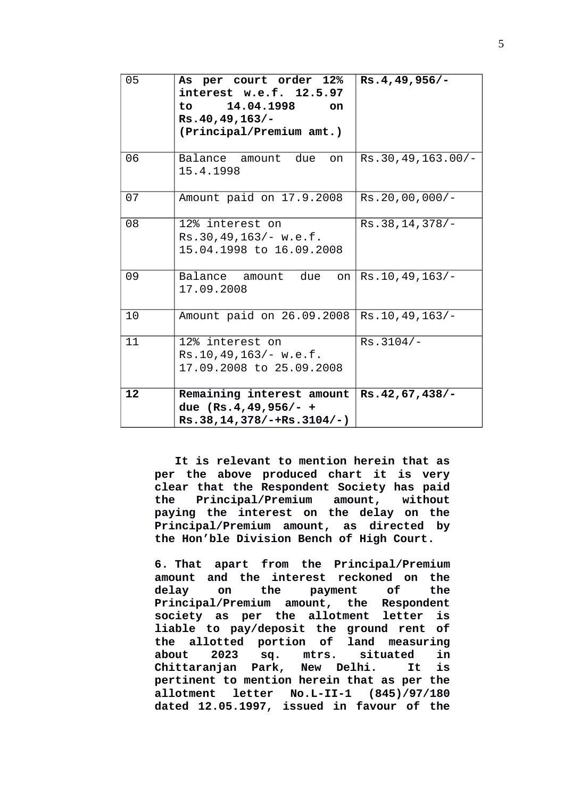| 05 | As per court order 12%<br>interest w.e.f. 12.5.97<br>14.04.1998<br>to to<br>on<br>Rs.40,49,163/-<br>(Principal/Premium amt.) | Rs.4,49,956/-     |
|----|------------------------------------------------------------------------------------------------------------------------------|-------------------|
| 06 | due<br>Balance amount<br>on<br>15.4.1998                                                                                     | Rs.30,49,163.00/- |
| 07 | Amount paid on 17.9.2008                                                                                                     | Rs.20,00,000/-    |
| 08 | 12% interest on<br>Rs.30,49,163/- w.e.f.<br>15.04.1998 to 16.09.2008                                                         | Rs.38, 14, 378/-  |
| 09 | Balance amount<br>due<br>on<br>17.09.2008                                                                                    | Rs. 10, 49, 163/- |
| 10 | Amount paid on 26.09.2008                                                                                                    | Rs. 10, 49, 163/- |
| 11 | 12% interest on<br>Rs.10,49,163/·W.e.f.<br>17.09.2008 to 25.09.2008                                                          | $Rs.3104/-$       |
| 12 | Remaining interest amount<br>due (Rs.4,49,956/- +<br>Rs.38,14,378/-+Rs.3104/-)                                               | Rs.42,67,438/-    |

**It is relevant to mention herein that as per the above produced chart it is very clear that the Respondent Society has paid the Principal/Premium amount, without paying the interest on the delay on the Principal/Premium amount, as directed by the Hon'ble Division Bench of High Court.**

**6. That apart from the Principal/Premium amount and the interest reckoned on the delay on the payment of the Principal/Premium amount, the Respondent society as per the allotment letter is liable to pay/deposit the ground rent of the allotted portion of land measuring about 2023 sq. mtrs. situated in Chittaranjan Park, New Delhi. It is pertinent to mention herein that as per the allotment letter No.L-II-1 (845)/97/180 dated 12.05.1997, issued in favour of the**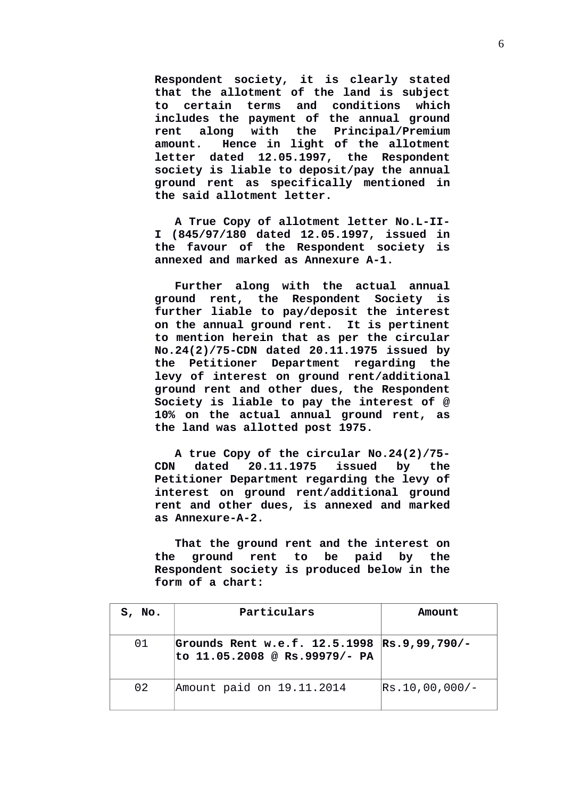**Respondent society, it is clearly stated that the allotment of the land is subject to certain terms and conditions which includes the payment of the annual ground rent along with the Principal/Premium amount. Hence in light of the allotment letter dated 12.05.1997, the Respondent society is liable to deposit/pay the annual ground rent as specifically mentioned in the said allotment letter.**

**A True Copy of allotment letter No.L-II-I (845/97/180 dated 12.05.1997, issued in the favour of the Respondent society is annexed and marked as Annexure A-1.**

**Further along with the actual annual ground rent, the Respondent Society is further liable to pay/deposit the interest on the annual ground rent. It is pertinent to mention herein that as per the circular No.24(2)/75-CDN dated 20.11.1975 issued by the Petitioner Department regarding the levy of interest on ground rent/additional ground rent and other dues, the Respondent Society is liable to pay the interest of @ 10% on the actual annual ground rent, as the land was allotted post 1975.**

**A true Copy of the circular No.24(2)/75- CDN dated 20.11.1975 issued by the Petitioner Department regarding the levy of interest on ground rent/additional ground rent and other dues, is annexed and marked as Annexure-A-2.**

**That the ground rent and the interest on the ground rent to be paid by the Respondent society is produced below in the form of a chart:** 

| S, No. | <b>Particulars</b>                                                           | Amount         |
|--------|------------------------------------------------------------------------------|----------------|
| 01     | Grounds Rent w.e.f. 12.5.1998 Rs.9,99,790/-<br>to 11.05.2008 @ Rs.99979/- PA |                |
| 02     | Amount paid on 19.11.2014                                                    | Rs.10,00,000/- |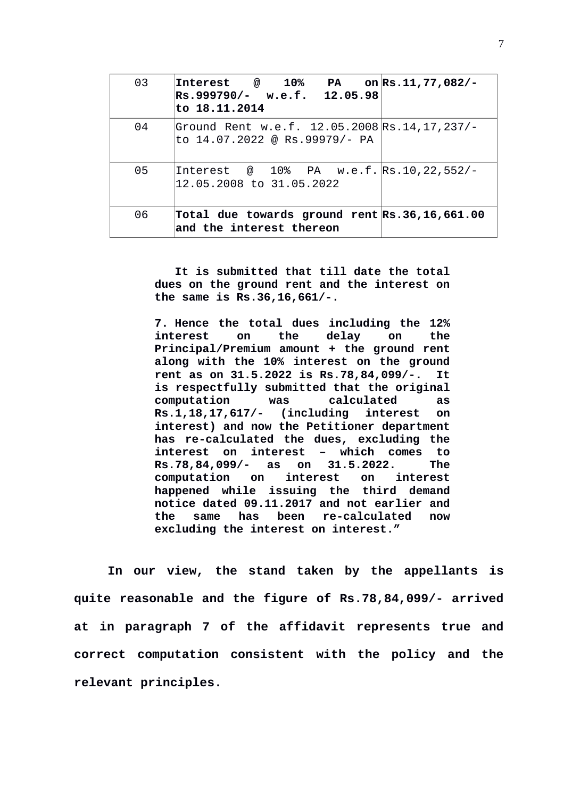| 03 | Interest $\omega = 10\%$ PA on Rs.11,77,082/-<br>Rs.999790/- w.e.f. 12.05.98<br>lto 18.11.2014 |  |
|----|------------------------------------------------------------------------------------------------|--|
| 04 | Ground Rent w.e.f. 12.05.2008 Rs.14,17,237/-<br>to 14.07.2022 @ Rs.99979/- PA                  |  |
| 05 | Interest @ 10% PA w.e.f. Rs.10,22,552/-<br>12.05.2008 to 31.05.2022                            |  |
| 06 | Total due towards ground rent Rs.36,16,661.00<br>$ $ and the interest thereon                  |  |

**It is submitted that till date the total dues on the ground rent and the interest on the same is Rs.36,16,661/-.**

**7. Hence the total dues including the 12% interest on the delay on the Principal/Premium amount + the ground rent along with the 10% interest on the ground rent as on 31.5.2022 is Rs.78,84,099/-. It is respectfully submitted that the original computation was calculated as Rs.1,18,17,617/- (including interest on interest) and now the Petitioner department has re-calculated the dues, excluding the interest on interest – which comes to Rs.78,84,099/- as on 31.5.2022. The computation on interest on interest happened while issuing the third demand notice dated 09.11.2017 and not earlier and the same has been re-calculated now excluding the interest on interest."**

**In our view, the stand taken by the appellants is quite reasonable and the figure of Rs.78,84,099/- arrived at in paragraph 7 of the affidavit represents true and correct computation consistent with the policy and the relevant principles.**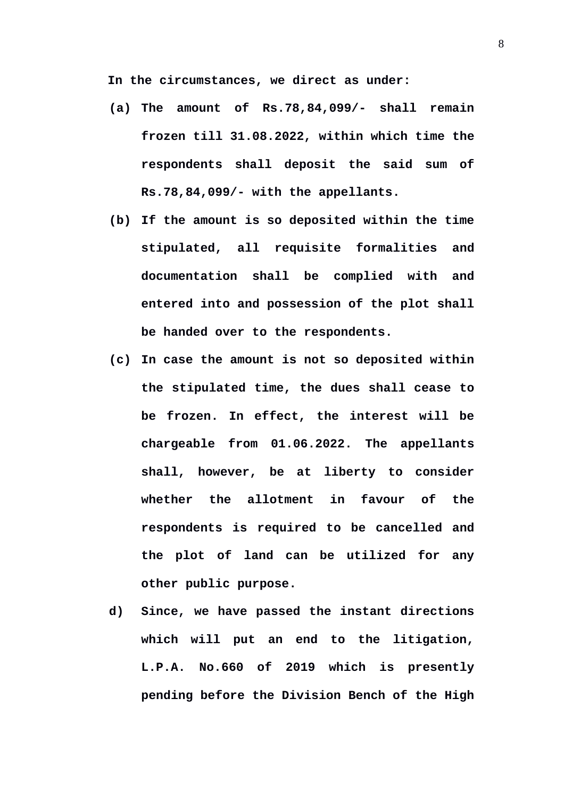**In the circumstances, we direct as under:**

- **(a) The amount of Rs.78,84,099/- shall remain frozen till 31.08.2022, within which time the respondents shall deposit the said sum of Rs.78,84,099/- with the appellants.**
- **(b) If the amount is so deposited within the time stipulated, all requisite formalities and documentation shall be complied with and entered into and possession of the plot shall be handed over to the respondents.**
- **(c) In case the amount is not so deposited within the stipulated time, the dues shall cease to be frozen. In effect, the interest will be chargeable from 01.06.2022. The appellants shall, however, be at liberty to consider whether the allotment in favour of the respondents is required to be cancelled and the plot of land can be utilized for any other public purpose.**
- **d) Since, we have passed the instant directions which will put an end to the litigation, L.P.A. No.660 of 2019 which is presently pending before the Division Bench of the High**